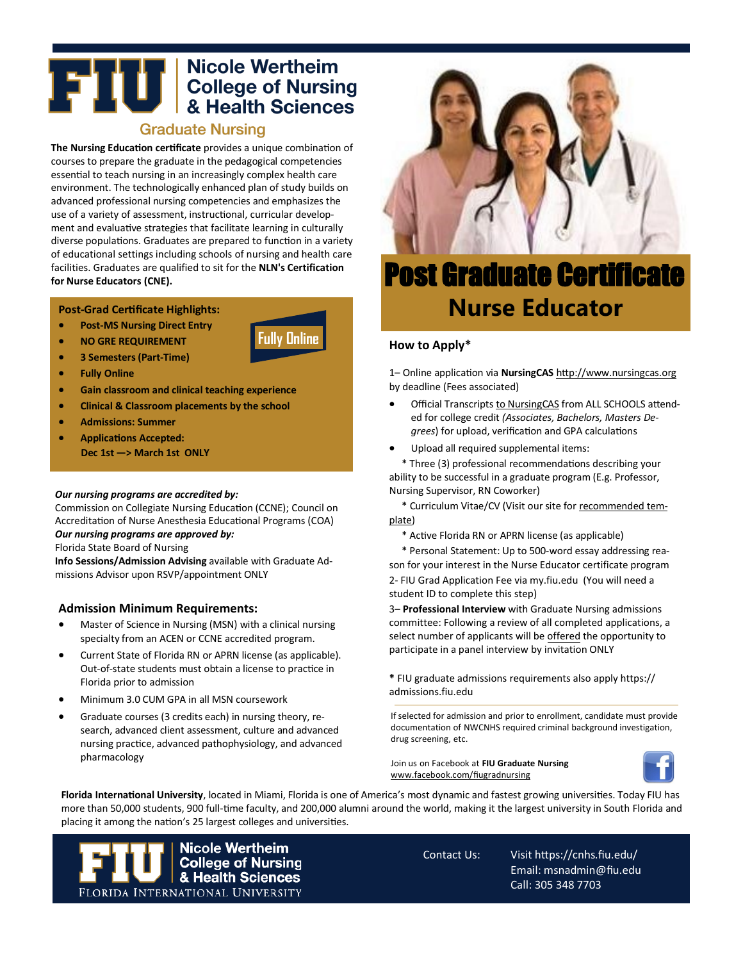# **THE READER OF SCHOOLS ASSESS**<br>**EXPERIENCIAL SCHOOLS AREADER SCIENCES**

# **Graduate Nursing**

**The Nursing Education certificate** provides a unique combination of courses to prepare the graduate in the pedagogical competencies essential to teach nursing in an increasingly complex health care environment. The technologically enhanced plan of study builds on advanced professional nursing competencies and emphasizes the use of a variety of assessment, instructional, curricular development and evaluative strategies that facilitate learning in culturally diverse populations. Graduates are prepared to function in a variety of educational settings including schools of nursing and health care facilities. Graduates are qualified to sit for the **NLN's Certification for Nurse Educators (CNE).**

**Fully Online**

#### **Post-Grad Certificate Highlights:**

- **Post-MS Nursing Direct Entry**
- **NO GRE REQUIREMENT**
- **3 Semesters (Part-Time)**
- **Fully Online**
- **Gain classroom and clinical teaching experience**
- **Clinical & Classroom placements by the school**
- **Admissions: Summer**
- **Applications Accepted: Dec 1st —> March 1st ONLY**

#### *Our nursing programs are accredited by:*

Commission on Collegiate Nursing Education (CCNE); Council on Accreditation of Nurse Anesthesia Educational Programs (COA) *Our nursing programs are approved by:*

### Florida State Board of Nursing

**Info Sessions/Admission Advising** available with Graduate Admissions Advisor upon RSVP/appointment ONLY

#### **Admission Minimum Requirements:**

- Master of Science in Nursing (MSN) with a clinical nursing specialty from an ACEN or CCNE accredited program.
- Current State of Florida RN or APRN license (as applicable). Out-of-state students must obtain a license to practice in Florida prior to admission
- Minimum 3.0 CUM GPA in all MSN coursework
- Graduate courses (3 credits each) in nursing theory, research, advanced client assessment, culture and advanced nursing practice, advanced pathophysiology, and advanced pharmacology



# Post Graduate Certificate **Nurse Educator**

#### **How to Apply\***

1– Online application via **NursingCAS** <http://www.nursingcas.org> by deadline (Fees associated)

- Official Transcripts to NursingCAS from ALL SCHOOLS attended for college credit *(Associates, Bachelors, Masters Degrees*) for upload, verification and GPA calculations
- Upload all required supplemental items:

\* Three (3) professional recommendations describing your ability to be successful in a graduate program (E.g. Professor, Nursing Supervisor, RN Coworker)

\* Curriculum Vitae/CV (Visit our site for [recommended tem](https://cnhs.fiu.edu/academics/nursing/graduate-nursing/programs/nurse-educator-post-grad/admissions/index.html)[plate\)](https://cnhs.fiu.edu/academics/nursing/graduate-nursing/programs/nurse-educator-post-grad/admissions/index.html)

\* Active Florida RN or APRN license (as applicable)

\* Personal Statement: Up to 500-word essay addressing reason for your interest in the Nurse Educator certificate program 2- FIU Grad Application Fee via my.fiu.edu (You will need a student ID to complete this step)

3– **Professional Interview** with Graduate Nursing admissions committee: Following a review of all completed applications, a select number of applicants will be offered the opportunity to participate in a panel interview by invitation ONLY

**\*** FIU graduate admissions requirements also apply https:// admissions.fiu.edu

If selected for admission and prior to enrollment, candidate must provide documentation of NWCNHS required criminal background investigation, drug screening, etc.

Join us on Facebook at **FIU Graduate Nursing**  [www.facebook.com/fiugradnursing](http://www.facebook.com/fiugradnursing)



**Florida International University**, located in Miami, Florida is one of America's most dynamic and fastest growing universities. Today FIU has more than 50,000 students, 900 full-time faculty, and 200,000 alumni around the world, making it the largest university in South Florida and placing it among the nation's 25 largest colleges and universities.



Contact Us: Visit https://cnhs.fiu.edu/ Email: msnadmin@fiu.edu Call: 305 348 7703